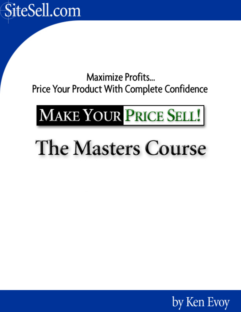

Maximize Profits... Price Your Product With Complete Confidence

# MAKE YOUR PRICE SELL!

# The Masters Course

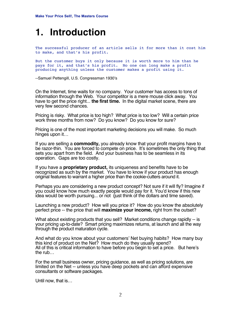### **1. Introduction**

The successful producer of an article sells it for more than it cost him to make, and that's his profit.

But the customer buys it only because it is worth more to him than he pays for it, and that's his profit. No one can long make a profit producing anything unless the customer makes a profit using it.

--Samuel Pettengill, U.S. Congressman 1930's

On the Internet, time waits for no company. Your customer has access to tons of information through the Web. Your competitor is a mere mouse click away. You have to get the price right... **the first time.** In the digital market scene, there are very few second chances.

Pricing is risky. What price is too high? What price is too low? Will a certain price work three months from now? Do you know? Do you know for sure?

Pricing is one of the most important marketing decisions you will make. So much hinges upon it…

If you are selling a **commodity,** you already know that your profit margins have to be razor-thin. You are forced to compete on price. It's sometimes the only thing that sets you apart from the field. And your business has to be seamless in its operation. Gaps are too costly.

If you have a **proprietary product,** its uniqueness and benefits have to be recognized as such by the market. You have to know if your product has enough original features to warrant a higher price than the cookie-cutters around it.

Perhaps you are considering a new product concept? Not sure if it will fly? Imagine if you could know how much exactly people would pay for it. You'd know if this new idea would be worth pursuing... or not (just think of the dollars and time saved).

Launching a new product? How will you price it? How do you know the absolutely perfect price -- the price that will **maximize your income,** right from the outset?

What about existing products that you sell? Market conditions change rapidly -- is your pricing up-to-date? Smart pricing maximizes returns, at launch and all the way through the product maturation cycle.

And what do you know about your customers' Net buying habits? How many buy this kind of product on the Net? How much do they usually spend? All of this is critical information to have before you begin to set a price. But here's the rub…

For the small business owner, pricing guidance, as well as pricing solutions, are limited on the Net -- unless you have deep pockets and can afford expensive consultants or software packages.

Until now, that is…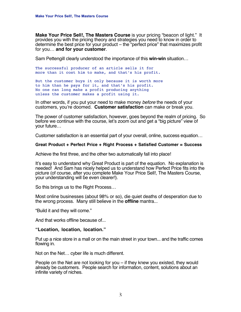**Make Your Price Sell!, The Masters Course** is your pricing "beacon of light." It provides you with the pricing theory and strategies you need to know in order to determine the best price for your product – the "perfect price" that maximizes profit for you… **and for your customer**.

Sam Pettengill clearly understood the importance of this **win-win** situation…

The successful producer of an article sells it for more than it cost him to make, and that's his profit.

But the customer buys it only because it is worth more to him than he pays for it, and that's his profit. No one can long make a profit producing anything unless the customer makes a profit using it.

In other words, if you put your need to make money before the needs of your customers, you're doomed. **Customer satisfaction** can make or break you.

The power of customer satisfaction, however, goes beyond the realm of pricing. So before we continue with the course, let's zoom out and get a "big picture" view of your future…

Customer satisfaction is an essential part of your overall, online, success equation…

#### **Great Product + Perfect Price + Right Process + Satisfied Customer = Success**

Achieve the first three, and the other two automatically fall into place!

It's easy to understand why Great Product is part of the equation. No explanation is needed! And Sam has nicely helped us to understand how Perfect Price fits into the picture (of course, after you complete Make Your Price Sell!, The Masters Course, your understanding will be even clearer!).

So this brings us to the Right Process…

Most online businesses (about 98% or so), die quiet deaths of desperation due to the wrong process. Many still believe in the **offline** mantra...

"Build it and they will come."

And that works offline because of...

#### **"Location, location, location."**

Put up a nice store in a mall or on the main street in your town... and the traffic comes flowing in.

Not on the Net… cyber life is much different.

People on the Net are not looking for you – if they knew you existed, they would already be customers. People search for information, content, solutions about an infinite variety of niches.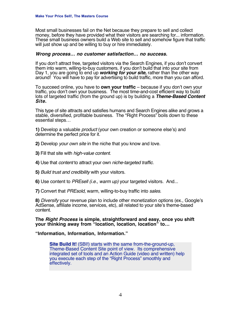Most small businesses fail on the Net because they prepare to sell and collect money, before they have provided what their visitors are searching for... information. These small business owners build a Web site to sell and somehow figure that traffic will just show up and be willing to buy or hire immediately.

#### **Wrong process… no customer satisfaction… no success.**

If you don't attract free, targeted visitors via the Search Engines, if you don't convert them into warm, willing-to-buy customers, if you don't build that into your site from Day 1, you are going to end up **working for your site,** rather than the other way around! You will have to pay for advertising to build traffic, more than you can afford.

To succeed online, you have to **own your traffic** – because if you don't own your traffic, you don't own your business. The most time-and-cost efficient way to build lots of targeted traffic (from the ground up) is by building a **Theme-Based Content Site.**

This type of site attracts and satisfies humans and Search Engines alike and grows a stable, diversified, profitable business. The "Right Process" boils down to these essential steps…

**1)** Develop a valuable product (your own creation or someone else's) and determine the perfect price for it.

- **2)** Develop your own site in the niche that you know and love.
- **3)** Fill that site with high-value content.
- **4)** Use that content to attract your own niche-targeted traffic.
- **5)** Build trust and credibility with your visitors.
- **6)** Use content to PREsell (i.e., warm up) your targeted visitors. And...
- **7)** Convert that PREsold, warm, willing-to-buy traffic into sales.

**8)** Diversify your revenue plan to include other monetization options (ex., Google's AdSense, affiliate income, services, etc), all related to your site's theme-based content.

**The Right Process is simple, straightforward and easy, once you shift your thinking away from "location, location, location" to…**

#### **"Information, Information, Information."**

**Site Build It!** (SBI!) starts with the same from-the-ground-up. Theme-Based Content Site point of view. Its comprehensive integrated set of tools and an Action Guide (video and written) help you execute each step of the "Right Process" smoothly and effectively.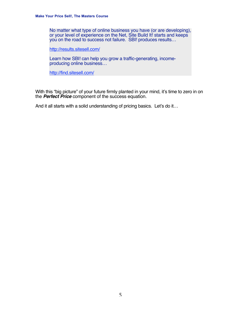No matter what type of online business you have (or are developing), or your level of experience on the Net, Site Build It! starts and keeps you on the road to success not failure. SBI! produces results…

[http://results.sitesell.com/](http://results.sitesell.com/gitbwebaffiliate.html                     )

Learn how SBI! can help you grow a traffic-generating, incomeproducing online business…

[http://find.sitesell.com/](http://find.sitesell.com/gitbwebaffiliate.html                        )

With this "big picture" of your future firmly planted in your mind, it's time to zero in on the **Perfect Price** component of the success equation.

And it all starts with a solid understanding of pricing basics. Let's do it...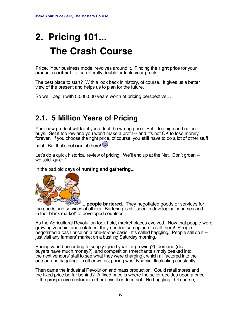## **2. Pricing 101... The Crash Course**

**Price.** Your business model revolves around it. Finding the **right** price for your product is **critical** -- it can literally double or triple your profits.

The best place to start? With a look back in history, of course. It gives us a better view of the present and helps us to plan for the future.

So we'll begin with 5,000,000 years worth of pricing perspective…

### **2.1. 5 Million Years of Pricing**

Your new product will fail if you adopt the wrong price. Set it too high and no one buys. Set it too low and you won't make a profit -- and it's not OK to lose money forever. If you choose the right price, of course, you **still** have to do a lot of other stuff

right. But that's not **our** job here!

Let's do a quick historical review of pricing. We'll end up at the Net. Don't groan - we said "quick."

In the bad old days of **hunting and gathering...**



**... people bartered.** They negotiated goods or services for the goods and services of others. Bartering is still seen in developing countries and in the "black market" of developed countries.

As the Agricultural Revolution took hold, market places evolved. Now that people were growing zucchini and potatoes, they needed someplace to sell them! People negotiated a cash price on a one-to-one basis. It's called haggling. People still do it - just visit any farmers' market on a bustling Saturday morning.

Pricing varied according to supply (good year for growing?), demand (did buyers have much money?), and competition (merchants simply peeked into the next vendors' stall to see what they were charging), which all factored into the one-on-one haggling. In other words, pricing was dynamic, fluctuating constantly.

Then came the Industrial Revolution and mass production. Could retail stores and the fixed price be far behind? A fixed price is where the seller decides upon a price -- the prospective customer either buys it or does not. No haggling. Of course, if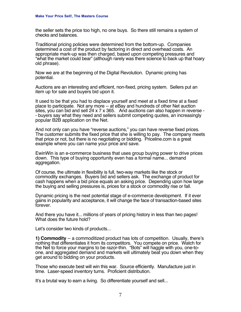the seller sets the price too high, no one buys. So there still remains a system of checks and balances.

Traditional pricing policies were determined from the bottom-up. Companies determined a cost of the product by factoring in direct and overhead costs. An appropriate mark-up was then charged, based upon competing pressures and "what the market could bear" (although rarely was there science to back up that hoary old phrase).

Now we are at the beginning of the Digital Revolution. Dynamic pricing has potential.

Auctions are an interesting and efficient, non-fixed, pricing system. Sellers put an item up for sale and buyers bid upon it.

It used to be that you had to displace yourself and meet at a fixed time at a fixed place to participate. Not any more -- at eBay and hundreds of other Net auction sites, you can bid and sell 24 x 7 x 365. And auctions can also happen in reverse - - buyers say what they need and sellers submit competing quotes, an increasingly popular B2B application on the Net.

And not only can you have "reverse auctions," you can have reverse fixed prices. The customer submits the fixed price that she is willing to pay. The company meets that price or not, but there is no negotiating or bidding. Priceline.com is a great example where you can name your price and save.

EwinWin is an e-commerce business that uses group buying power to drive prices down. This type of buying opportunity even has a formal name... demand aggregation.

Of course, the ultimate in flexibility is full, two-way markets like the stock or commodity exchanges. Buyers bid and sellers ask. The exchange of product for cash happens when a bid price equals an asking price. Depending upon how large the buying and selling pressures is, prices for a stock or commodity rise or fall.

Dynamic pricing is the next potential stage of e-commerce development. If it ever gains in popularity and acceptance, it will change the face of transaction-based sites forever.

And there you have it... millions of years of pricing history in less than two pages! What does the future hold?

Let's consider two kinds of products...

**1) Commodity** -- a commoditized product has lots of competition. Usually, there's nothing that differentiates it from its competitors. You compete on price. Watch for the Net to force your margins to be razor-thin. "Bots" will haggle with you, one-toone, and aggregated demand and markets will ultimately beat you down when they get around to bidding on your products.

Those who execute best will win this war. Source efficiently. Manufacture just in time. Laser-speed inventory turns. Proficient distribution.

It's a brutal way to earn a living. So differentiate yourself and sell...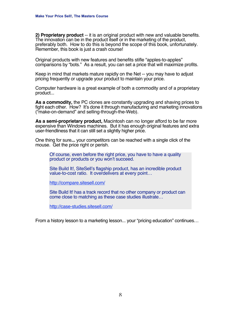**2) Proprietary product** -- it is an original product with new and valuable benefits. The innovation can be in the product itself or in the marketing of the product, preferably both. How to do this is beyond the scope of this book, unfortunately. Remember, this book is just a crash course!

Original products with new features and benefits stifle "apples-to-apples" comparisons by "bots." As a result, you can set a price that will maximize profits.

Keep in mind that markets mature rapidly on the Net -- you may have to adjust pricing frequently or upgrade your product to maintain your price.

Computer hardware is a great example of both a commodity and of a proprietary product...

**As a commodity,** the PC clones are constantly upgrading and shaving prices to fight each other. How? It's done it through manufacturing and marketing innovations ("make-on-demand" and selling-through-the-Web).

**As a semi-proprietary product,** Macintosh can no longer afford to be far more expensive than Windows machines. But it has enough original features and extra user-friendliness that it can still set a slightly higher price.

One thing for sure**...** your competitors can be reached with a single click of the mouse. Get the price right or perish.

Of course, even before the right price, you have to have a quality product or products or you won't succeed.

Site Build It!, SiteSell's flagship product, has an incredible product value-to-cost ratio. It overdelivers at every point…

[http://compare.sitesell.com/](http://compare.sitesell.com/gitbwebaffiliate.html                     )

Site Build It! has a track record that no other company or product can come close to matching as these case studies illustrate…

[http://case-studies.sitesell.com/](http://case-studies.sitesell.com/gitbwebaffiliate.html                )

From a history lesson to a marketing lesson... your "pricing education" continues…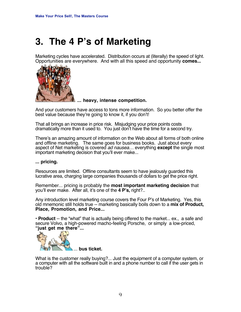### **3. The 4 P's of Marketing**

Marketing cycles have accelerated. Distribution occurs at (literally) the speed of light. Opportunities are everywhere. And with all this speed and opportunity **comes...**



**... heavy, intense competition.**

And your customers have access to tons more information. So you better offer the best value because they're going to know it, if you don't!

That all brings an increase in price risk. Misjudging your price points costs dramatically more than it used to. You just don't have the time for a second try.

There's an amazing amount of information on the Web about all forms of both online and offline marketing. The same goes for business books. Just about every aspect of Net marketing is covered ad nausea… everything **except** the single most important marketing decision that you'll ever make...

**... pricing.**

Resources are limited. Offline consultants seem to have jealously guarded this lucrative area, charging large companies thousands of dollars to get the price right.

Remember... pricing is probably the **most important marketing decision** that you'll ever make. After all, it's one of the **4 P's,** right?..

Any introduction level marketing course covers the Four P's of Marketing. Yes, this old mnemonic still holds true -- marketing basically boils down to a **mix of Product, Place, Promotion, and Price...**

**• Product** -- the "what" that is actually being offered to the market... ex., a safe and secure Volvo, a high-powered macho-feeling Porsche, or simply a low-priced, **"just get me there"...**



What is the customer really buying?... Just the equipment of a computer system, or a computer with all the software built in and a phone number to call if the user gets in trouble?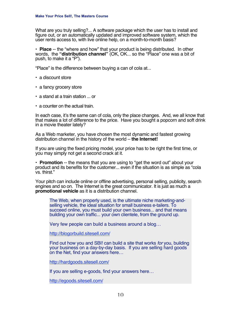What are you truly selling?... A software package which the user has to install and figure out, or an automatically updated and improved software system, which the user rents access to, with live online help, on a month-to-month basis?

**• Place** -- the "where and how" that your product is being distributed. In other words, the **"distribution channel"** (OK, OK... so the "Place" one was a bit of push, to make it a "P").

"Place" is the difference between buying a can of cola at...

- **•** a discount store
- **•** a fancy grocery store
- **•** a stand at a train station ... or
- **•** a counter on the actual train.

In each case, it's the same can of cola, only the place changes. And, we all know that that makes a lot of difference to the price. Have you bought a popcorn and soft drink in a movie theater lately?

As a Web marketer, you have chosen the most dynamic and fastest growing distribution channel in the history of the world – **the Internet!**

If you are using the fixed pricing model, your price has to be right the first time, or you may simply not get a second crack at it.

**• Promotion** -- the means that you are using to "get the word out" about your product and its benefits for the customer... even if the situation is as simple as "cola vs. thirst."

Your pitch can include online or offline advertising, personal selling, publicity, search engines and so on. The Internet is the great communicator. It is just as much a **promotional vehicle** as it is a distribution channel.

The Web, when properly used, is the ultimate niche marketing-andselling vehicle, the ideal situation for small business e-tailers. To succeed online, you must build your own business... and that means building your own traffic... your own clientele, from the ground up.

Very few people can build a business around a blog…

[http://blogorbuild.sitesell.com/](http://blogorbuild.sitesell.com/gitbwebaffiliate.html                 )

Find out how you and SBI! can build a site that works for you, building your business on a day-by-day basis. If you are selling hard goods on the Net, find your answers here…

[http://hardgoods.sitesell.com/](http://hardgoods.sitesell.com/gitbwebaffiliate.html                   )

If you are selling e-goods, find your answers here…

[http://egoods.sitesell.com/](http://egoods.sitesell.com/gitbwebaffiliate.html                      )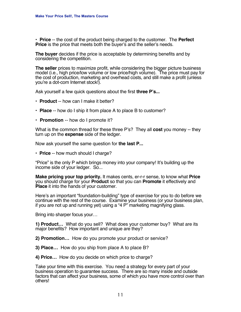**• Price** -- the cost of the product being charged to the customer. The **Perfect Price** is the price that meets both the buyer's and the seller's needs.

**The buyer** decides if the price is acceptable by determining benefits and by considering the competition.

**The seller** prices to maximize profit, while considering the bigger picture business model (i.e., high price/low volume or low price/high volume). The price must pay for the cost of production, marketing and overhead costs, and still make a profit (unless you're a dot-com Internet stock!).

Ask yourself a few quick questions about the first **three P's...**

- **Product** -- how can I make it better?
- **Place** -- how do I ship it from place A to place B to customer?
- **Promotion** -- how do I promote it?

What is the common thread for these three P's? They all **cost** you money -- they turn up on the **expense** side of the ledger.

Now ask yourself the same question for **the last P...**

**• Price** -- how much should I charge?

"Price" is the only P which brings money into your company! It's building up the income side of your ledger. So...

**Make pricing your top priority.** It makes cents, er-r-r sense, to know what **Price** you should charge for your **Product** so that you can **Promote** it effectively and **Place** it into the hands of your customer.

Here's an important "foundation-building" type of exercise for you to do before we continue with the rest of the course. Examine your business (or your business plan, if you are not up and running yet) using a "4 P" marketing magnifying glass.

Bring into sharper focus your…

**1) Product…** What do you sell? What does your customer buy? What are its major benefits? How important and unique are they?

**2) Promotion…** How do you promote your product or service?

**3) Place…** How do you ship from place A to place B?

**4) Price…** How do you decide on which price to charge?

Take your time with this exercise. You need a strategy for every part of your business operation to guarantee success. There are so many inside and outside factors that can affect your business, some of which you have more control over than others!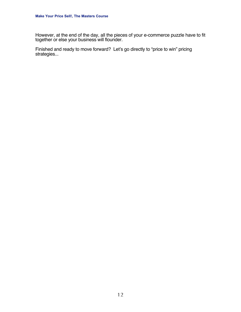However, at the end of the day, all the pieces of your e-commerce puzzle have to fit together or else your business will flounder.

Finished and ready to move forward? Let's go directly to "price to win" pricing strategies...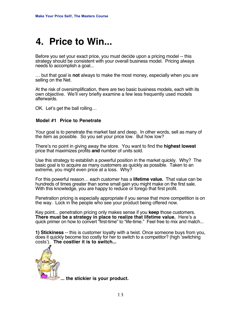### **4. Price to Win...**

Before you set your exact price, you must decide upon a pricing model -- this strategy should be consistent with your overall business model. Pricing always needs to accomplish a goal...

… but that goal is **not** always to make the most money, especially when you are selling on the Net.

At the risk of oversimplification, there are two basic business models, each with its own objective. We'll very briefly examine a few less frequently used models afterwards.

OK. Let's get the ball rolling…

#### **Model #1 Price to Penetrate**

Your goal is to penetrate the market fast and deep. In other words, sell as many of the item as possible. So you set your price low. But how low?

There's no point in giving away the store. You want to find the **highest lowest** price that maximizes profits **and** number of units sold.

Use this strategy to establish a powerful position in the market quickly. Why? The basic goal is to acquire as many customers as quickly as possible. Taken to an extreme, you might even price at a loss. Why?

For this powerful reason… each customer has a **lifetime value.** That value can be hundreds of times greater than some small gain you might make on the first sale. With this knowledge, you are happy to reduce or forego that first profit.

Penetration pricing is especially appropriate if you sense that more competition is on the way. Lock in the people who see your product being offered now.

Key point... penetration pricing only makes sense if you **keep** those customers. **There must be a strategy in place to realize that lifetime value.** Here's a quick primer on how to convert "first-time" to "life-time." Feel free to mix and match...

**1) Stickiness** -- this is customer loyalty with a twist. Once someone buys from you, does it quickly become too costly for her to switch to a competitor? (high 'switching costs'). **The costlier it is to switch...**



**... the stickier is your product.**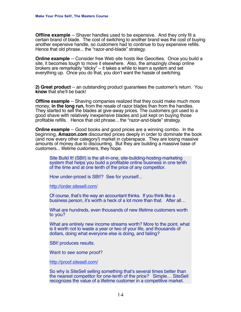**Offline example** -- Shaver handles used to be expensive. And they only fit a certain brand of blade. The cost of switching to another brand was the cost of buying another expensive handle, so customers had to continue to buy expensive refills. Hence that old phrase... the "razor-and-blade" strategy.

**Online example** -- Consider free Web site hosts like Geocities. Once you build a site, it becomes tough to move it elsewhere. Also, the amazingly cheap online brokers are remarkably "sticky" -- it takes a while to learn a system and set everything up. Once you do that, you don't want the hassle of switching.

**2) Great product** -- an outstanding product guarantees the customer's return. You **know** that she'll be back!

**Offline example** -- Shaving companies realized that they could make much more money, **in the long run,** from the resale of razor blades than from the handles. They started to sell the blades at give-away prices. The customers got used to a good shave with relatively inexpensive blades and just kept on buying those profitable refills. Hence that old phrase... the "razor-and-blade" strategy.

**Online example** -- Good books and good prices are a winning combo. In the beginning, **Amazon.com** discounted prices deeply in order to dominate the book (and now every other category!) market in cyberspace. They are losing massive amounts of money due to discounting. But they are building a massive base of customers... lifetime customers, they hope.

Site Build It! (SBI!) is the all-in-one, site-building-hosting-marketing system that helps you build a profitable online business in one tenth of the time and at one tenth of the price of any competitor.

How under-priced is SBI!? See for yourself...

[http://order.sitesell.com/](http://order.sitesell.com/gitbwebaffiliate.html                       )

Of course, that's the way an accountant thinks. If you think like a business person, it's worth a heck of a lot more than that. After all…

What are hundreds, even thousands of new lifetime customers worth to you?

What are entirely new income streams worth? More to the point, what is it worth not to waste a year or two of your life, and thousands of dollars, doing what everyone else is doing, and failing?

SBI! produces results.

Want to see some proof?

[http://proof.sitesell.com/](http://proof.sitesell.com/gitbwebaffiliate.html                       )

So why is SiteSell selling something that's several times better than the nearest competitor for one-tenth of the price? Simple… SiteSell recognizes the value of a lifetime customer in a competitive market.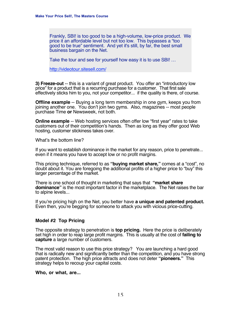Frankly, SBI! is too good to be a high-volume, low-price product. We price it an affordable level but not too low. This bypasses a "too good to be true" sentiment. And yet it's still, by far, the best small business bargain on the Net.

Take the tour and see for yourself how easy it is to use SBI! …

[http://videotour.sitesell.com/](http://videotour.sitesell.com/gitbwebaffiliate.html                   )

**3) Freeze-out** -- this is a variant of great product. You offer an "introductory low price" for a product that is a recurring purchase for a customer. That first sale effectively sticks him to you, not your competitor... if the quality is there, of course.

**Offline example** -- Buying a long term membership in one gym, keeps you from joining another one. You don't join two gyms. Also, magazines -- most people purchase Time **or** Newsweek, not both.

**Online example** -- Web hosting services often offer low "first year" rates to take customers out of their competition's hands. Then as long as they offer good Web hosting, customer stickiness takes over.

What's the bottom line?

If you want to establish dominance in the market for any reason, price to penetrate... even if it means you have to accept low or no profit margins.

This pricing technique, referred to as **"buying market share,"** comes at a "cost", no doubt about it. You are foregoing the additional profits of a higher price to "buy" this larger percentage of the market.

There is one school of thought in marketing that says that **"market share dominance"** is the most important factor in the marketplace. The Net raises the bar to alpine levels...

If you're pricing high on the Net, you better have **a unique and patented product.** Even then, you're begging for someone to attack you with vicious price-cutting.

#### **Model #2 Top Pricing**

The opposite strategy to penetration is **top pricing.** Here the price is deliberately set high in order to reap large profit margins. This is usually at the cost of **failing to capture** a large number of customers.

The most valid reason to use this price strategy? You are launching a hard good that is radically new and significantly better than the competition, and you have strong patent protection. The high price attracts and does not deter **"pioneers."** This strategy helps to recoup your capital costs.

#### **Who, or what, are...**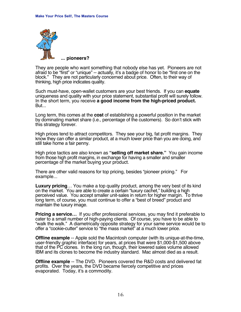

They are people who want something that nobody else has yet. Pioneers are not afraid to be "first" or "unique" -- actually, it's a badge of honor to be "first one on the block." They are not particularly concerned about price. Often, to their way of thinking, high price indicates quality.

Such must-have, open-wallet customers are your best friends. If you can **equate** uniqueness and quality with your price statement, substantial profit will surely follow. In the short term, you receive **a good income from the high-priced product.** But...

Long term, this comes at the **cost** of establishing a powerful position in the market by dominating market share (i.e., percentage of the customers). So don't stick with this strategy forever.

High prices tend to attract competitors. They see your big, fat profit margins. They know they can offer a similar product, at a much lower price than you are doing, and still take home a fair penny.

High price tactics are also known as **"selling off market share."** You gain income from those high profit margins, in exchange for having a smaller and smaller percentage of the market buying your product.

There are other valid reasons for top pricing, besides "pioneer pricing." For example...

**Luxury pricing**… You make a top quality product, among the very best of its kind on the market. You are able to create a certain "luxury cachet," building a high perceived value. You accept smaller unit-sales in return for higher margin. To thrive long term, of course, you must continue to offer a "best of breed" product and maintain the luxury image.

**Pricing a service...** If you offer professional services, you may find it preferable to cater to a small number of high-paying clients. Of course, you have to be able to "walk the walk." A diametrically opposite strategy for your same service would be to offer a "cookie-cutter" service to "the mass market" at a much lower price.

**Offline example** -- Apple sold the Macintosh computer (with its unique-at-the-time, user-friendly graphic interface) for years, at prices that were \$1,000-\$1,500 above that of the PC clones. In the long run, though, their lowered sales volume allowed IBM and its clones to become the industry standard. Mac almost died as a result.

**Offline example** -- The DVD. Pioneers covered the R&D costs and delivered fat profits. Over the years, the DVD became fiercely competitive and prices evaporated. Today, it's a commodity.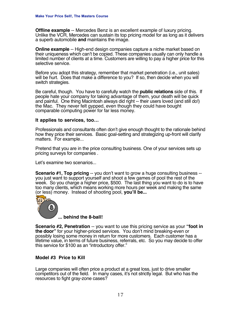**Offline example** -- Mercedes Benz is an excellent example of luxury pricing. Unlike the VCR, Mercedes can sustain its top pricing model for as long as it delivers a superb automobile **and** maintains the image.

**Online example** -- High-end design companies capture a niche market based on their uniqueness which can't be copied. These companies usually can only handle a limited number of clients at a time. Customers are willing to pay a higher price for this selective service.

Before you adopt this strategy, remember that market penetration (i.e., unit sales) will be hurt. Does that make a difference to you? If so, then decide when you will switch strategies.

Be careful, though. You have to carefully watch the **public relations** side of this. If people hate your company for taking advantage of them, your death will be quick and painful. One thing Macintosh always did right -- their users loved (and still do!) the Mac. They never felt gypped, even though they could have bought comparable computing power for far less money.

#### **It applies to services, too…**

Professionals and consultants often don't give enough thought to the rationale behind how they price their services. Basic goal-setting and strategizing up-front will clarify matters. For example...

Pretend that you are in the price consulting business. One of your services sets up pricing surveys for companies .

Let's examine two scenarios...

**Scenario #1, Top pricing** -- you don't want to grow a huge consulting business -you just want to support yourself and shoot a few games of pool the rest of the week. So you charge a higher price, \$500. The last thing you want to do is to have too many clients, which means working more hours per week and making the same (or less) money. Instead of shooting pool, **you'll be...**



**... behind the 8-ball!**

**Scenario #2, Penetration** -- you want to use this pricing service as your **"foot in the door"** for your higher-priced services. You don't mind breaking-even or possibly losing some money in return for more customers. Each customer has a lifetime value, in terms of future business, referrals, etc. So you may decide to offer this service for \$100 as an "introductory offer."

#### **Model #3 Price to Kill**

Large companies will often price a product at a great loss, just to drive smaller competitors out of the field. In many cases, it's not strictly legal. But who has the resources to fight gray-zone cases?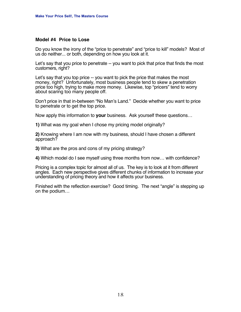#### **Model #4 Price to Lose**

Do you know the irony of the "price to penetrate" and "price to kill" models? Most of us do neither... or both, depending on how you look at it.

Let's say that you price to penetrate -- you want to pick that price that finds the most customers, right?

Let's say that you top price -- you want to pick the price that makes the most money, right? Unfortunately, most business people tend to skew a penetration price too high, trying to make more money. Likewise, top "pricers" tend to worry about scaring too many people off.

Don't price in that in-between "No Man's Land." Decide whether you want to price to penetrate or to get the top price.

Now apply this information to **your** business. Ask yourself these questions…

**1)** What was my goal when I chose my pricing model originally?

**2)** Knowing where I am now with my business, should I have chosen a different approach?

**3)** What are the pros and cons of my pricing strategy?

**4)** Which model do I see myself using three months from now… with confidence?

Pricing is a complex topic for almost all of us. The key is to look at it from different angles. Each new perspective gives different chunks of information to increase your understanding of pricing theory and how it affects your business.

Finished with the reflection exercise? Good timing. The next "angle" is stepping up on the podium…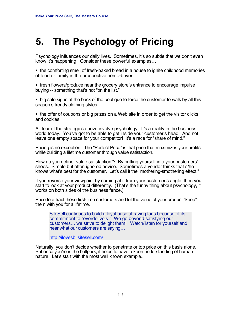### **5. The Psychology of Pricing**

Psychology influences our daily lives. Sometimes, it's so subtle that we don't even know it's happening. Consider these powerful examples…

•the comforting smell of fresh-baked bread in a house to ignite childhood memories of food or family in the prospective home-buyer.

•fresh flowers/produce near the grocery store's entrance to encourage impulse buying -- something that's not "on the list."

•big sale signs at the back of the boutique to force the customer to walk by all this season's trendy clothing styles.

•the offer of coupons or big prizes on a Web site in order to get the visitor clicks and cookies.

All four of the strategies above involve psychology. It's a reality in the business world today. You've got to be able to get inside your customer's head. And not leave one empty space for your competitor! It's a race for "share of mind."

Pricing is no exception. The "Perfect Price" is that price that maximizes your profits while building a lifetime customer through value satisfaction.

How do you define "value satisfaction"? By putting yourself into your customers' shoes. Simple but often ignored advice. Sometimes a vendor thinks that s/he knows what's best for the customer. Let's call it the "mothering-smothering effect."

If you reverse your viewpoint by coming at it from your customer's angle, then you start to look at your product differently. (That's the funny thing about psychology, it works on both sides of the business fence.)

Price to attract those first-time customers and let the value of your product "keep" them with you for a lifetime.

SiteSell continues to build a loyal base of raving fans because of its commitment to "overdelivery." We go beyond satisfying our customers… we strive to delight them! Watch/listen for yourself and hear what our customers are saying…

[http://ilovesbi.sitesell.com/](http://ilovesbi.sitesell.com/gitbwebaffiliate.html                    )

Naturally, you don't decide whether to penetrate or top price on this basis alone. But once you're in the ballpark, it helps to have a keen understanding of human nature. Let's start with the most well known example...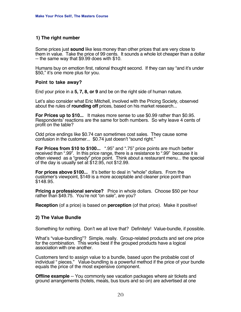#### **1) The right number**

Some prices just **sound** like less money than other prices that are very close to them in value. Take the price of 99 cents. It sounds a whole lot cheaper than a dollar -- the same way that \$9.99 does with \$10.

Humans buy on emotion first, rational thought second. If they can say "and it's under \$50," it's one more plus for you.

#### **Point to take away?**

End your price in a **5, 7, 8, or 9** and be on the right side of human nature.

Let's also consider what Eric Mitchell, involved with the Pricing Society, observed about the rules of **rounding off** prices, based on his market research...

**For Prices up to \$10...** It makes more sense to use \$0.99 rather than \$0.95. Respondents' reactions are the same for both numbers. So why leave 4 cents of profit on the table?

Odd price endings like \$0.74 can sometimes cost sales. They cause some confusion in the customer... \$0.74 just doesn't "sound right."

**For Prices from \$10 to \$100...** ".95" and ".75" price points are much better received than ".99". In this price range, there is a resistance to ".99" because it is often viewed as a "greedy" price point. Think about a restaurant menu... the special of the day is usually set at \$12.95, not \$12.99.

**For prices above \$100...** It's better to deal in "whole" dollars. From the customer's viewpoint, \$149 is a more acceptable and cleaner price point than \$148.95.

**Pricing a professional service?** Price in whole dollars. Choose \$50 per hour rather than \$49.75. You're not "on sale", are you?

**Reception** (of a price) is based on **perception** (of that price). Make it positive!

#### **2) The Value Bundle**

Something for nothing. Don't we all love that? Definitely! Value-bundle, if possible.

What's "value-bundling"? Simple, really. Group-related products and set one price for the combination. This works best if the grouped products have a logical association with one another.

Customers tend to assign value to a bundle, based upon the probable cost of individual " pieces." Value-bundling is a powerful method if the price of your bundle equals the price of the most expensive component.

**Offline example** -- You commonly see vacation packages where air tickets and ground arrangements (hotels, meals, bus tours and so on) are advertised at one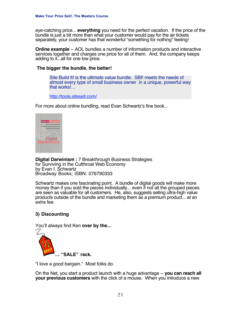eye-catching price... **everything** you need for the perfect vacation. If the price of the bundle is just a bit more than what your customer would pay for the air tickets separately, your customer has that wonderful "something for nothing" feeling!

**Online example** -- AOL bundles a number of information products and interactive services together and charges one price for all of them. And, the company keeps adding to it...all for one low price.

#### **The bigger the bundle, the better!**

Site Build It! is the ultimate value bundle. SBI! meets the needs of almost every type of small business owner in a unique, powerful way that works!…

[http://tools.sitesell.com/](http://tools.sitesell.com/gitbwebaffiliate.html                       )

For more about online bundling, read Evan Schwartz's fine book...



**Digital Darwinism :** 7 Breakthrough Business Strategies for Surviving in the Cutthroat Web Economy by Evan I. Schwartz Broadway Books; ISBN: 076790333

Schwartz makes one fascinating point. A bundle of digital goods will make more money than if you sold the pieces individually... even if not all the grouped pieces are seen as valuable for all customers. He, also, suggests selling ultra-high value products outside of the bundle and marketing them as a premium product... at an extra fee.

#### **3) Discounting**

You'll always find Ken **over by the...**



"I love a good bargain." Most folks do.

On the Net, you start a product launch with a huge advantage -- **you can reach all your previous customers** with the click of a mouse. When you introduce a new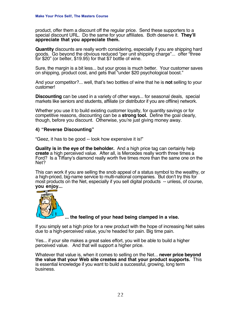product, offer them a discount off the regular price. Send these supporters to a special discount URL. Do the same for your affiliates. Both deserve it. **They'll appreciate that you appreciate them.**

**Quantity** discounts are really worth considering, especially if you are shipping hard goods. Go beyond the obvious reduced "per unit shipping charge"... offer "three for \$20" (or better, \$19.95) for that \$7 bottle of wine.

Sure, the margin is a bit less... but your gross is much better. Your customer saves on shipping, product cost, and gets that "under \$20 psychological boost."

And your competitor?... well, that's two bottles of wine that he is **not** selling to your customer!

**Discounting** can be used in a variety of other ways... for seasonal deals, special markets like seniors and students, affiliate (or distributor if you are offline) network.

Whether you use it to build existing customer loyalty, for quantity savings or for competitive reasons, discounting can be a **strong tool.** Define the goal clearly, though, before you discount. Otherwise, you're just giving money away.

#### **4) "Reverse Discounting"**

"Geez, it has to be good -- look how expensive it is!"

**Quality is in the eye of the beholder.** And a high price tag can certainly help **create** a high perceived value. After all, is Mercedes really worth three times a Ford? Is a Tiffany's diamond really worth five times more than the same one on the Net?

This can work if you are selling the snob appeal of a status symbol to the wealthy, or a high-priced, big-name service to multi-national companies. But don't try this for most products on the Net, especially if you sell digital products -- unless, of course, **you enjoy...**



#### **... the feeling of your head being clamped in a vise.**

If you simply set a high price for a new product with the hope of increasing Net sales due to a high-perceived value, you're headed for pain. Big time pain.

Yes... if your site makes a great sales effort, you will be able to build a higher perceived value. And that will support a higher price.

Whatever that value is, when it comes to selling on the Net... **never price beyond the value that your Web site creates and that your product supports.** This is essential knowledge if you want to build a successful, growing, long term business.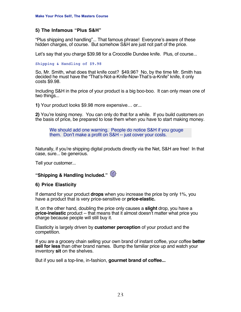#### **5) The Infamous "Plus S&H"**

"Plus shipping and handling"... That famous phrase! Everyone's aware of these hidden charges, of course. But somehow S&H are just not part of the price.

Let's say that you charge \$39.98 for a Crocodile Dundee knife. Plus, of course...

Shipping & Handling of \$9.98

So, Mr. Smith, what does that knife cost? \$49.96? No, by the time Mr. Smith has decided he must have the "That's-Not-a-Knife-Now-That's-a-Knife" knife, it only costs \$9.98.

Including S&H in the price of your product is a big boo-boo. It can only mean one of two things...

**1)** Your product looks \$9.98 more expensive… or...

**2)** You're losing money. You can only do that for a while. If you build customers on the basis of price, be prepared to lose them when you have to start making money.

We should add one warning. People do notice S&H if you gouge them. Don't make a profit on S&H -- just cover your costs.

Naturally, if you're shipping digital products directly via the Net, S&H are free! In that case, sure... be generous.

Tell your customer...

### **"Shipping & Handling Included."**

#### **6) Price Elasticity**

If demand for your product **drops** when you increase the price by only 1%, you have a product that is very price-sensitive or **price-elastic.**

If, on the other hand, doubling the price only causes a **slight** drop, you have a **price-inelastic** product -- that means that it almost doesn't matter what price you charge because people will still buy it.

Elasticity is largely driven by **customer perception** of your product and the competition.

If you are a grocery chain selling your own brand of instant coffee, your coffee **better sell for less** than other brand names. Bump the familiar price up and watch your inventory **sit** on the shelves.

But if you sell a top-line, in-fashion, **gourmet brand of coffee...**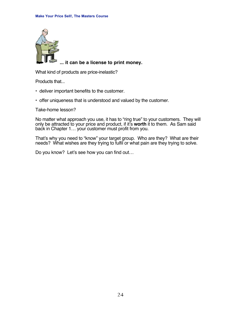

#### **... it can be a license to print money.**

What kind of products are price-inelastic?

Products that...

- deliver important benefits to the customer.
- offer uniqueness that is understood and valued by the customer.

Take-home lesson?

No matter what approach you use, it has to "ring true" to your customers. They will only be attracted to your price and product, if it's **worth** it to them. As Sam said back in Chapter 1… your customer must profit from you.

That's why you need to "know" your target group. Who are they? What are their needs? What wishes are they trying to fulfil or what pain are they trying to solve.

Do you know? Let's see how you can find out…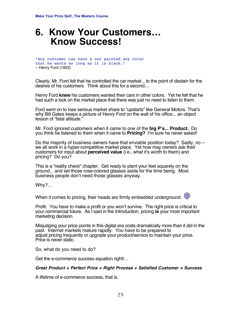### **6. Know Your Customers… Know Success!**

```
"Any customer can have a car painted any color
that he wants so long as it is black."
-- Henry Ford (1922)
```
Clearly, Mr. Ford felt that he controlled the car market... to the point of disdain for the desires of his customers. Think about this for a second....

Henry Ford **knew** his customers wanted their cars in other colors. Yet he felt that he had such a lock on the market place that there was just no need to listen to them.

Ford went on to lose serious market share to "upstarts" like General Motors. That's why Bill Gates keeps a picture of Henry Ford on the wall of his office... an object lesson of "fatal attitude."

Mr. Ford ignored customers when it came to one of the **big P's... Product.** Do you think he listened to them when it came to **Pricing?** I'm sure he never asked!

Do the majority of business owners have that enviable position today? Sadly, no - we all work in a hyper-competitive market place. Yet how may owners ask their customers for input about **perceived value** (i.e., what it's worth to them) and pricing? Do you?

This is a "reality check" chapter. Get ready to plant your feet squarely on the ground... and set those rose-colored glasses aside for the time being. Most business people don't need those glasses anyway.

Why?...

When it comes to pricing, their heads are firmly embedded underground.  $\bigotimes$ 



Profit. You have to make a profit or you won't survive. The right price is critical to your commercial future. As I said in the Introduction, pricing **is** your most important marketing decision.

Misjudging your price points in this digital era costs dramatically more than it did in the past. Internet markets mature rapidly. You have to be prepared to adjust pricing frequently or upgrade your product/service to maintain your price. Price is never static.

So, what do you need to do?

Get the e-commerce success equation right!…

#### **Great Product + Perfect Price + Right Process + Satisfied Customer = Success**

A lifetime of e-commerce success, that is.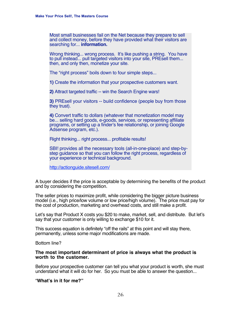Most small businesses fail on the Net because they prepare to sell and collect money, before they have provided what their visitors are searching for... **information.**

Wrong thinking... wrong process. It's like pushing a string. You have to pull instead... pull targeted visitors into your site, PREsell them... then, and only then, monetize your site.

The "right process" boils down to four simple steps...

**1)** Create the information that your prospective customers want.

**2)** Attract targeted traffic -- win the Search Engine wars!

**3)** PREsell your visitors -- build confidence (people buy from those they trust).

**4)** Convert traffic to dollars (whatever that monetization model may be... selling hard goods, e-goods, services, or representing affiliate programs, or setting up a finder's fee relationship, or joining Google Adsense program, etc.).

Right thinking... right process... profitable results!

SBI! provides all the necessary tools (all-in-one-place) and step-bystep guidance so that you can follow the right process, regardless of your experience or technical background.

[http://actionguide.sitesell.com/](http://action-guide.sitesell.com/gitbwebaffiliate.html                )

A buyer decides if the price is acceptable by determining the benefits of the product and by considering the competition.

The seller prices to maximize profit, while considering the bigger picture business model (i.e., high price/low volume or low price/high volume). The price must pay for the cost of production, marketing and overhead costs, and still make a profit.

Let's say that Product X costs you \$20 to make, market, sell, and distribute. But let's say that your customer is only willing to exchange \$10 for it.

This success equation is definitely "off the rails" at this point and will stay there, permanently, unless some major modifications are made.

Bottom line?

#### **The most important determinant of price is always what the product is worth to the customer.**

Before your prospective customer can tell you what your product is worth, she must understand what it will do for her. So you must be able to answer the question...

"**What's in it for me?"**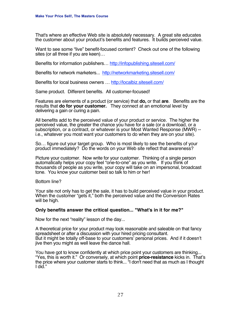That's where an effective Web site is absolutely necessary. A great site educates the customer about your product's benefits and features. It builds perceived value.

Want to see some "live" benefit-focused content? Check out one of the following sites (or all three if you are keen)…

Benefits for information publishers… [http://infopublishing.sitesell.com/](http://infopublishing.sitesell.com/gitbwebaffiliate.html              )

Benefits for network marketers... [http://networkmarketing.sitesell.com/](http://networkmarketing.sitesell.com/gitbwebaffiliate.html            )

Benefits for local business owners … [http://localbiz.sitesell.com/](http://localbiz.sitesell.com/gitbwebaffiliate.html                    )

Same product. Different benefits. All customer-focused!

Features are elements of a product (or service) that **do,** or that **are**. Benefits are the results that **do for your customer.** They connect at an emotional level by delivering a gain or curing a pain.

All benefits add to the perceived value of your product or service. The higher the perceived value, the greater the chance you have for a sale (or a download, or a subscription, or a contract, or whatever is your Most Wanted Response (MWR) - i.e., whatever you most want your customers to do when they are on your site).

So… figure out your target group. Who is most likely to see the benefits of your product immediately? Do the words on your Web site reflect that awareness?

Picture your customer. Now write for your customer. Thinking of a single person automatically helps your copy feel "one-to-one" as you write. If you think of thousands of people as you write, your copy will take on an impersonal, broadcast tone. You know your customer best so talk to him or her!

#### Bottom line?

Your site not only has to get the sale, it has to build perceived value in your product. When the customer "gets it," both the perceived value and the Conversion Rates will be high.

#### **Only benefits answer the critical question... "What's in it for me?"**

Now for the next "reality" lesson of the day...

A theoretical price for your product may look reasonable and saleable on that fancy spreadsheet or after a discussion with your hired pricing consultant. But it might be totally off-base to your customers' personal prices. And if it doesn't jive then you might as well leave the dance hall.

You have got to know confidently at which price point your customers are thinking... "Yes, this is worth it." Or conversely, at which point **price-resistance** kicks in. That's the price where your customer starts to think... "I don't need that as much as I thought I did."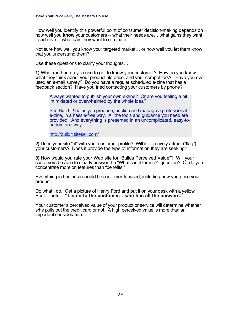How well you identify this powerful point of consumer decision-making depends on how well you **know** your customers -- what their needs are… what gains they want to achieve… what pain they want to eliminate.

Not sure how well you know your targeted market… or how well you let them know that you understand them?

Use these questions to clarify your thoughts…

**1)** What method do you use to get to know your customer? How do you know what they think about your product, its price, and your competitors? Have you ever used an e-mail survey? Do you have a regular scheduled e-zine that has a feedback section? Have you tried contacting your customers by phone?

Always wanted to publish your own e-zine? Or are you feeling a bit intimidated or overwhelmed by the whole idea?

Site Build It! helps you produce, publish and manage a professional e-zine, in a hassle-free way. All the tools and guidance you need are provided. And everything is presented in an uncomplicated, easy-tounderstand way.

[http://buildit.sitesell.com/](http://buildit.sitesell.com/gitbwebaffiliate.html                     )

**2)** Does your site "fit" with your customer profile? Will it effectively attract ("flag") your customers? Does it provide the type of information they are seeking?

**3)** How would you rate your Web site for "Builds Perceived Value"? Will your customers be able to clearly answer the "What's in it for me?" question? Or do you concentrate more on features than "benefits."

Everything in business should be customer-focused, including how you price your product.

Do what I do. Get a picture of Henry Ford and put it on your desk with a yellow Post-it note... **"Listen to the customer... s/he has all the answers."**

Your customer's perceived value of your product or service will determine whether s/he pulls out the credit card or not. A high perceived value is more than an important consideration…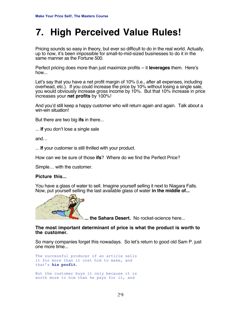### **7. High Perceived Value Rules!**

Pricing sounds so easy in theory, but ever so difficult to do in the real world. Actually, up to now, it's been impossible for small-to-mid-sized businesses to do it in the same manner as the Fortune 500.

Perfect pricing does more than just maximize profits -- it **leverages** them. Here's how...

Let's say that you have a net profit margin of 10% (i.e., after all expenses, including overhead, etc.). If you could increase the price by 10% without losing a single sale, you would obviously increase gross income by 10%. But that 10% increase in price increases your **net profits** by 100%!

And you'd still keep a happy customer who will return again and again. Talk about a win-win situation!

But there are two big **ifs** in there...

... **If** you don't lose a single sale

and…

... **If** your customer is still thrilled with your product.

How can we be sure of those **ifs**? Where do we find the Perfect Price?

Simple… with the customer.

#### **Picture this...**

You have a glass of water to sell. Imagine yourself selling it next to Niagara Falls. Now, put yourself selling the last available glass of water **in the middle of...**



**... the Sahara Desert.** No rocket-science here...

#### **The most important determinant of price is what the product is worth to the customer.**

So many companies forget this nowadays. So let's return to good old Sam P. just one more time...

The successful producer of an article sells it for more than it cost him to make, and that's **his profit.**

But the customer buys it only because it is worth more to him than he pays for it, and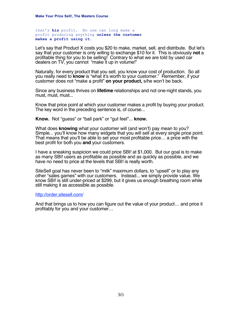that's **his** profit. No one can long make a profit producing anything **unless the customer makes a profit using it.**

Let's say that Product X costs you \$20 to make, market, sell, and distribute. But let's say that your customer is only willing to exchange \$10 for it. This is obviously **not** a profitable thing for you to be selling! Contrary to what we are told by used car dealers on TV, you cannot "make it up in volume!"

Naturally, for every product that you sell, you know your cost of production. So all you really need to **know** is "what it's worth to your customer." Remember, if your customer does not "make a profit" **on your product,** s/he won't be back.

Since any business thrives on **lifetime** relationships and not one-night stands, you must, must, must...

Know that price point at which your customer makes a profit by buying your product. The key word in the preceding sentence is, of course...

**Know.** Not "guess" or "ball park" or "gut feel"... **know.**

What does **knowing** what your customer will (and won't) pay mean to you? Simple... you'll know how many widgets that you will sell at every single price point. That means that you'll be able to set your most profitable price… a price with the best profit for both you **and** your customers.

I have a sneaking suspicion we could price SBI! at \$1,000. But our goal is to make as many SBI! users as profitable as possible and as quickly as possible, and we have no need to price at the levels that SBI! is really worth.

SiteSell goal has never been to "milk" maximum dollars, to "upsell" or to play any other "sales games" with our customers. Instead... we simply provide value. We know SBI! is still under-priced at \$299, but it gives us enough breathing room while still making it as accessible as possible.

#### [http://order.sitesell.com/](http://order.sitesell.com/gitbwebaffiliate.html                       )

And that brings us to how you can figure out the value of your product… and price it profitably for you and your customer…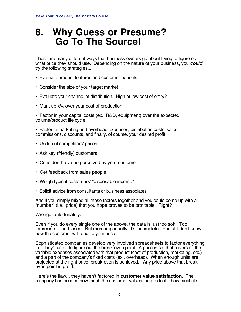### **8. Why Guess or Presume? Go To The Source!**

There are many different ways that business owners go about trying to figure out what price they should use. Depending on the nature of your business, you **could** try the following strategies...

- **•** Evaluate product features and customer benefits
- **•** Consider the size of your target market
- **•** Evaluate your channel of distribution. High or low cost of entry?
- **•** Mark up x% over your cost of production

**•** Factor in your capital costs (ex., R&D, equipment) over the expected volume/product life cycle

**•** Factor in marketing and overhead expenses, distribution costs, sales commissions, discounts, and finally, of course, your desired profit

- **•** Undercut competitors' prices
- **•** Ask key (friendly) customers
- **•** Consider the value perceived by your customer
- **•** Get feedback from sales people
- **•** Weigh typical customers' "disposable income"
- **•** Solicit advice from consultants or business associates

And if you simply mixed all these factors together and you could come up with a "number" (i.e., price) that you hope proves to be profitable. Right?

Wrong... unfortunately.

Even if you do every single one of the above, the data is just too soft. Too imprecise. Too biased. But more importantly, it's incomplete. You still don't know how the customer will react to your price.

Sophisticated companies develop very involved spreadsheets to factor everything in. They'll use it to figure out the break-even point. A price is set that covers all the variable expenses associated with that product (cost of production, marketing, etc.) and a part of the company's fixed costs (ex., overhead). When enough units are projected at the right price, break-even is achieved. Any price above that breakeven point is profit.

Here's the flaw... they haven't factored in **customer value satisfaction.** The company has no idea how much the customer values the product – how much it's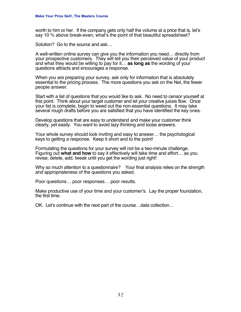worth to him or her. If the company gets only half the volume at a price that is, let's say 10 % above break-even, what's the point of that beautiful spreadsheet?

Solution? Go to the source and ask…

A well-written online survey can give you the information you need… directly from your prospective customers. They will tell you their perceived value of your product and what they would be willing to pay for it… **as long as** the wording of your questions attracts and encourages a response.

When you are preparing your survey, ask only for information that is absolutely essential to the pricing process. The more questions you ask on the Net, the fewer people answer.

Start with a list of questions that you would like to ask. No need to censor yourself at this point. Think about your target customer and let your creative juices flow. Once your list is complete, begin to weed out the non-essential questions. It may take several rough drafts before you are satisfied that you have identified the key ones.

Develop questions that are easy to understand and make your customer think clearly, yet easily. You want to avoid lazy thinking and loose answers.

Your whole survey should look inviting and easy to answer… the psychological keys to getting a response. Keep it short and to the point!

Formulating the questions for your survey will not be a two-minute challenge. Figuring out **what and how** to say it effectively will take time and effort… as you revise, delete, add, tweak until you get the wording just right!

Why so much attention to a questionnaire? Your final analysis relies on the strength and appropriateness of the questions you asked.

Poor questions… poor responses… poor results.

Make productive use of your time and your customer's. Lay the proper foundation, the first time.

OK. Let's continue with the next part of the course…data collection…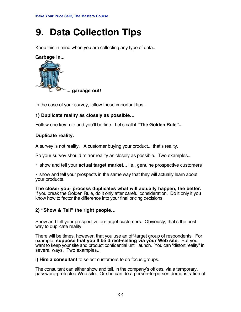## **9. Data Collection Tips**

Keep this in mind when you are collecting any type of data...



In the case of your survey, follow these important tips…

#### **1) Duplicate reality as closely as possible…**

Follow one key rule and you'll be fine. Let's call it **"The Golden Rule"...**

#### **Duplicate reality.**

A survey is not reality. A customer buying your product... that's reality.

So your survey should mirror reality as closely as possible. Two examples...

**•** show and tell your **actual target market...** i.e., genuine prospective customers

**•** show and tell your prospects in the same way that they will actually learn about your products.

**The closer your process duplicates what will actually happen, the better.** If you break the Golden Rule, do it only after careful consideration. Do it only if you know how to factor the difference into your final pricing decisions.

#### **2) "Show & Tell" the right people…**

Show and tell your prospective on-target customers. Obviously, that's the best way to duplicate reality.

There will be times, however, that you use an off-target group of respondents. For example, **suppose that you'll be direct-selling via your Web site.** But you want to keep your site and product confidential until launch. You can "distort reality" in several ways. Two examples...

**i) Hire a consultant** to select customers to do focus groups.

The consultant can either show and tell, in the company's offices, via a temporary, password-protected Web site. Or she can do a person-to-person demonstration of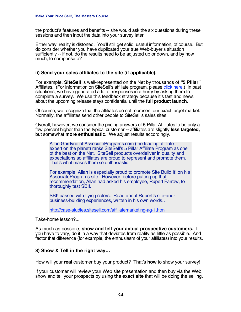the product's features and benefits -- she would ask the six questions during these sessions and then input the data into your survey later.

Either way, reality is distorted. You'll still get solid, useful information, of course. But do consider whether you have duplicated your true Web-buyer's situation sufficiently -- if not, do the results need to be adjusted up or down, and by how much, to compensate?

#### **ii) Send your sales affiliates to the site (if applicable).**

For example, **SiteSell** is well-represented on the Net by thousands of **"5 Pillar"** Affiliates. (For information on SiteSell's affiliate program, please [click here.\)](<<RRURLAFFSIGNUP---------------------------------------------------->>) In past situations, we have generated a lot of responses in a hurry by asking them to complete a survey. We use this feedback strategy because it's fast and news about the upcoming release stays confidential until the **full product launch.**

Of course, we recognize that the affiliates do not represent our exact target market. Normally, the affiliates send other people to SiteSell's sales sites.

Overall, however, we consider the pricing answers of 5 Pillar Affiliates to be only a few percent higher than the typical customer -- affiliates are slightly **less targeted,** but somewhat **more enthusiastic**. We adjust results accordingly.

Allan Gardyne of AssociatePrograms.com (the leading affiliate expert on the planet) ranks SiteSell's 5 Pillar Affiliate Program as one of the best on the Net. SiteSell products overdeliver in quality and expectations so affiliates are proud to represent and promote them. That's what makes them so enthusiastic!

For example, Allan is especially proud to promote Site Build It! on his AssociatePrograms site. However, before putting up that recommendation, Allan had asked his employee, Rupert Farrow, to thoroughly test SBI!.

SBI! passed with flying colors. Read about Rupert's site-andbusiness-building experiences, written in his own words…

<http://case-studies.sitesell.com/affiliatemarketing-ag-1.html>

Take-home lesson?...

As much as possible, **show and tell your actual prospective customers.** If you have to vary, do it in a way that deviates from reality as little as possible. And factor that difference (for example, the enthusiasm of your affiliates) into your results.

#### **3) Show & Tell in the right way…**

How will your **real** customer buy your product? That's **how** to show your survey!

If your customer will review your Web site presentation and then buy via the Web, show and tell your prospects by using **the exact site** that will be doing the selling.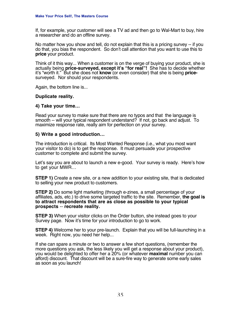If, for example, your customer will see a TV ad and then go to Wal-Mart to buy, hire a researcher and do an offline survey.

No matter how you show and tell, do not explain that this is a pricing survey -- if you do that, you bias the respondent. So don't call attention that you want to use this to **price** your product.

Think of it this way... When a customer is on the verge of buying your product, she is actually being **price-surveyed, except it's "for real"!** She has to decide whether it's "worth it." But she does not **know** (or even consider) that she is being **price**surveyed. Nor should your respondents.

Again, the bottom line is...

#### **Duplicate reality.**

#### **4) Take your time…**

Read your survey to make sure that there are no typos and that the language is smooth -- will your typical respondent understand? If not, go back and adjust. To maximize response rate, really aim for perfection on your survey.

#### **5) Write a good introduction…**

The introduction is critical. Its Most Wanted Response (i.e., what you most want your visitor to do) is to get the response. It must persuade your prospective customer to complete and submit the survey.

Let's say you are about to launch a new e-good. Your survey is ready. Here's how to get your MWR…

**STEP 1)** Create a new site, or a new addition to your existing site, that is dedicated to selling your new product to customers.

**STEP 2)** Do some light marketing (through e-zines, a small percentage of your affiliates, ads, etc.) to drive some targeted traffic to the site. Remember, **the goal is to attract respondents that are as close as possible to your typical prospects** -- **recreate reality.**

**STEP 3)** When your visitor clicks on the Order button, she instead goes to your Survey page. Now it's time for your introduction to go to work.

**STEP 4)** Welcome her to your pre-launch. Explain that you will be full-launching in a week. Right now, you need her help...

If she can spare a minute or two to answer a few short questions, (remember the more questions you ask, the less likely you will get a response about your product), you would be delighted to offer her a 20% (or whatever **maximal** number you can afford) discount. That discount will be a sure-fire way to generate some early sales as soon as you launch!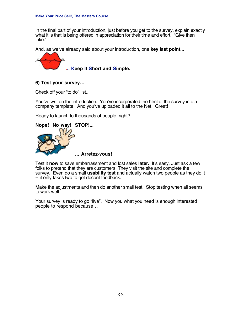In the final part of your introduction, just before you get to the survey, explain exactly what it is that is being offered in appreciation for their time and effort. "Give then take."

And, as we've already said about your introduction, one **key last point...**



**... Keep It Short and Simple.**

#### **6) Test your survey…**

Check off your "to do" list...

You've written the introduction. You've incorporated the html of the survey into a company template. And you've uploaded it all to the Net. Great!

Ready to launch to thousands of people, right?



Test it **now** to save embarrassment and lost sales **later.** It's easy. Just ask a few folks to pretend that they are customers. They visit the site and complete the survey. Even do a small **usability test** and actually watch two people as they do it -- it only takes two to get decent feedback.

Make the adjustments and then do another small test. Stop testing when all seems to work well.

Your survey is ready to go "live". Now you what you need is enough interested people to respond because…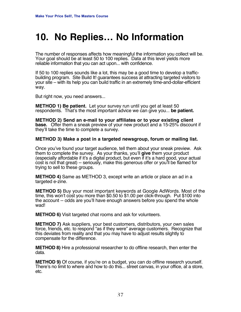### **10. No Replies… No Information**

The number of responses affects how meaningful the information you collect will be. Your goal should be at least 50 to 100 replies. Data at this level yields more reliable information that you can act upon... with confidence.

If 50 to 100 replies sounds like a lot, this may be a good time to develop a trafficbuilding program. Site Build It! guarantees success at attracting targeted visitors to your site – with its help you can build traffic in an extremely time-and-dollar-efficient way.

But right now, you need answers...

**METHOD 1) Be patient.** Let your survey run until you get at least 50 respondents. That's the most important advice we can give you... **be patient.**

**METHOD 2) Send an e-mail to your affiliates or to your existing client base.** Offer them a sneak preview of your new product and a 15-25% discount if they'll take the time to complete a survey.

#### **METHOD 3) Make a post in a targeted newsgroup, forum or mailing list.**

Once you've found your target audience, tell them about your sneak preview. Ask them to complete the survey. As your thanks, you'll **give** them your product (especially affordable if it's a digital product, but even if it's a hard good, your actual cost is not that great) -- seriously, make this generous offer or you'll be flamed for trying to sell to these groups.

**METHOD 4)** Same as METHOD 3, except write an article or place an ad in a targeted e-zine.

**METHOD 5)** Buy your most important keywords at Google AdWords. Most of the time, this won't cost you more than \$0.50 to \$1.00 per click-through. Put \$100 into the account -- odds are you'll have enough answers before you spend the whole wad!

**METHOD 6)** Visit targeted chat rooms and ask for volunteers.

**METHOD 7)** Ask suppliers, your best customers, distributors, your own sales force, friends, etc. to respond "as if they were" average customers. Recognize that this deviates from reality and that you may have to adjust results slightly to compensate for the difference.

**METHOD 8)** Hire a professional researcher to do offline research, then enter the data.

**METHOD 9)** Of course, if you're on a budget, you can do offline research yourself. There's no limit to where and how to do this... street canvas, in your office, at a store, etc.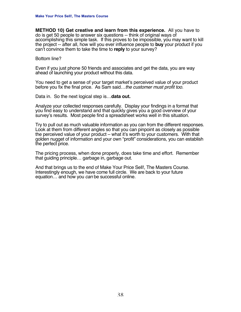**METHOD 10) Get creative and learn from this experience.** All you have to do is get 50 people to answer six questions -- think of original ways of accomplishing this simple task. If this proves to be impossible, you may want to kill the project -- after all, how will you ever influence people to **buy** your product if you can't convince them to take the time to **reply** to your survey?

#### Bottom line?

Even if you just phone 50 friends and associates and get the data, you are way ahead of launching your product without this data.

You need to get a sense of your target market's perceived value of your product before you fix the final price. As Sam said...the customer must profit too.

Data in. So the next logical step is…**data out.**

Analyze your collected responses carefully. Display your findings in a format that you find easy to understand and that quickly gives you a good overview of your survey's results. Most people find a spreadsheet works well in this situation.

Try to pull out as much valuable information as you can from the different responses. Look at them from different angles so that you can pinpoint as closely as possible the perceived value of your product – what it's worth to your customers. With that golden nugget of information and your own "profit" considerations, you can establish the perfect price.

The pricing process, when done properly, does take time and effort. Remember that guiding principle… garbage in, garbage out.

And that brings us to the end of Make Your Price Sell!, The Masters Course. Interestingly enough, we have come full circle. We are back to your future equation... and how you *can* be successful online.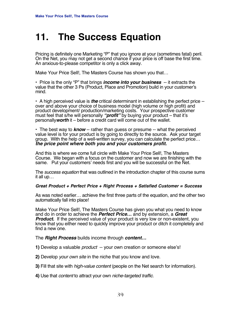## **11. The Success Equation**

Pricing is definitely one Marketing "P" that you ignore at your (sometimes fatal) peril. On the Net, you may not get a second chance if your price is off base the first time. An anxious-to-please competitor is only a click away.

Make Your Price Sell!, The Masters Course has shown you that…

**•** Price is the only "P" that brings **income into your business** -- it extracts the value that the other 3 Ps (Product, Place and Promotion) build in your customer's mind.

**•** A high perceived value is **the** critical determinant in establishing the perfect price - over and above your choice of business model (high volume or high profit) and product development/ production/marketing costs. Your prospective customer must feel that s/he will personally **"profit"** by buying your product – that it's personally**worth** it – before a credit card will come out of the wallet.

**•** The best way to **know** -- rather than guess or presume -- what the perceived value level is for your product is by going to directly to the source. Ask your target group. With the help of a well-written survey, you can calculate the perfect price… **the price point where both you and your customers profit.**

And this is where we come full circle with Make Your Price Sell!, The Masters Course. We began with a focus on the customer and now we are finishing with the same. Put your customers' needs first and you will be successful on the Net.

The *success equation* that was outlined in the introduction chapter of this course sums it all up…

#### **Great Product + Perfect Price + Right Process + Satisfied Customer = Success**

As was noted earlier… achieve the first three parts of the equation, and the other two automatically fall into place!

Make Your Price Sell!, The Masters Course has given you what you need to know and do in order to achieve the **Perfect Price…** and by extension, a **Great Product.** If the perceived value of your product is very low or non-existent, you know that you either need to quickly improve your product or ditch it completely and find a new one.

The **Right Process** builds income through **content…**

**1)** Develop a valuable product -- your own creation or someone else's!

**2)** Develop your own site in the niche that you know and love.

**3)** Fill that site with high-value content (people on the Net search for information).

**4)** Use that content to attract your own niche-targeted traffic.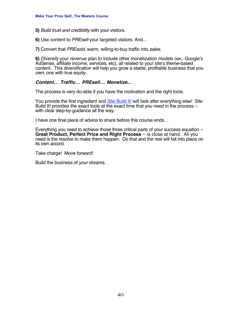**5)** Build trust and credibility with your visitors.

**6)** Use content to PREsell your targeted visitors. And...

**7)** Convert that PREsold, warm, willing-to-buy traffic into sales.

**8)** Diversify your revenue plan to include other monetization models (ex., Google's AdSense, affiliate income, services, etc), all related to your site's theme-based content. This diversification will help you grow a stable, profitable business that you own, one with true equity.

#### **Content… Traffic… PREsell… Monetize...**

The process is very do-able if you have the motivation and the right tools.

You provide the first ingredient and [Site Build It!](http://buildit.sitesell.com/gitbwebaffiliate.html                     ) will look after everything else! Site Build It! provides the exact tools at the exact time that you need in the process - with clear step-by-guidance all the way.

I have one final piece of advice to share before this course ends…

Everything you need to achieve those three critical parts of your success equation – **Great Product, Perfect Price and Right Process** -- is close at hand. All you need is the resolve to make them happen. Do that and the rest will fall into place on its own accord.

Take charge! Move forward!

Build the business of your dreams.